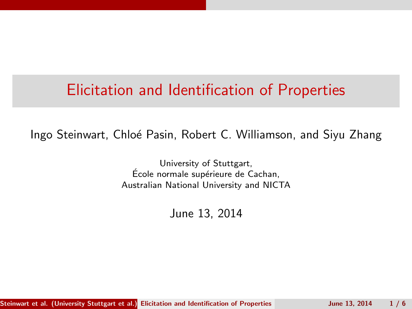# Elicitation and Identification of Properties

Ingo Steinwart, Chlo´e Pasin, Robert C. Williamson, and Siyu Zhang

University of Stuttgart, École normale supérieure de Cachan, Australian National University and NICTA

<span id="page-0-0"></span>June 13, 2014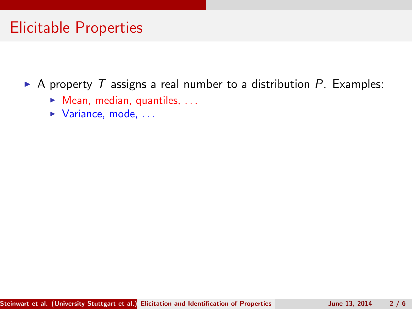# Elicitable Properties

 $\triangleright$  A property T assigns a real number to a distribution P. Examples:

- $\blacktriangleright$  Mean, median, quantiles, ...
- $\blacktriangleright$  Variance, mode, ...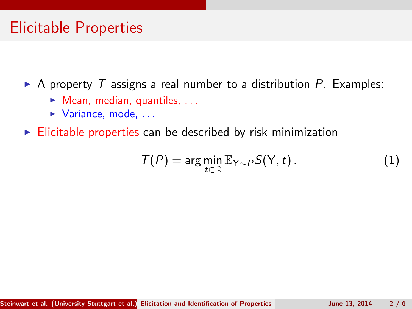### Elicitable Properties

 $\triangleright$  A property T assigns a real number to a distribution P. Examples:

- $\blacktriangleright$  Mean, median, quantiles, ...
- $\blacktriangleright$  Variance, mode, ...

 $\triangleright$  Elicitable properties can be described by risk minimization

$$
T(P) = \arg\min_{t \in \mathbb{R}} \mathbb{E}_{Y \sim P} S(Y, t).
$$
 (1)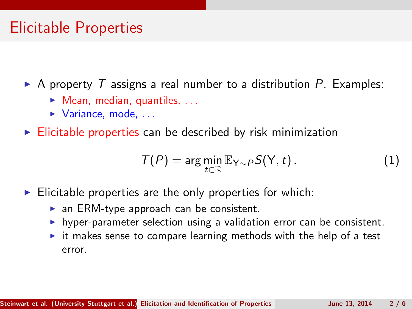# Elicitable Properties

 $\triangleright$  A property T assigns a real number to a distribution P. Examples:

- $\blacktriangleright$  Mean, median, quantiles, ...
- $\blacktriangleright$  Variance, mode, ...
- $\triangleright$  Elicitable properties can be described by risk minimization

$$
T(P) = \arg\min_{t \in \mathbb{R}} \mathbb{E}_{Y \sim P} S(Y, t).
$$
 (1)

- $\blacktriangleright$  Elicitable properties are the only properties for which:
	- $\triangleright$  an ERM-type approach can be consistent.
	- $\blacktriangleright$  hyper-parameter selection using a validation error can be consistent.
	- $\triangleright$  it makes sense to compare learning methods with the help of a test error.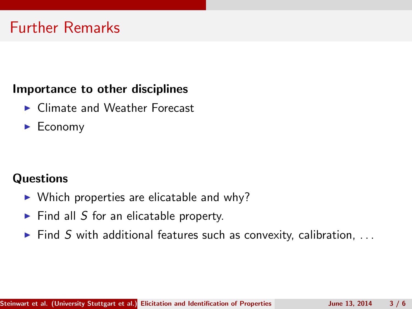#### Importance to other disciplines

- ▶ Climate and Weather Forecast
- $\blacktriangleright$  Economy

#### **Questions**

- $\triangleright$  Which properties are elicatable and why?
- $\blacktriangleright$  Find all S for an elicatable property.
- $\blacktriangleright$  Find S with additional features such as convexity, calibration, ...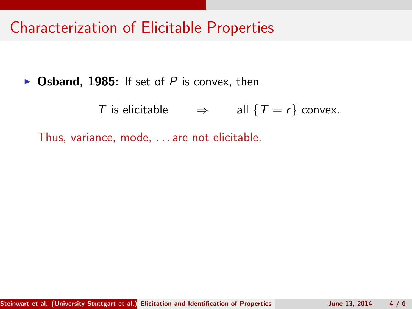### Characterization of Elicitable Properties

 $\triangleright$  Osband, 1985: If set of P is convex, then

T is elicitable  $\Rightarrow$  all  $\{T = r\}$  convex.

Thus, variance, mode, . . . are not elicitable.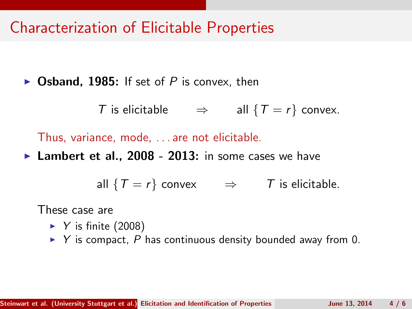### Characterization of Elicitable Properties

 $\triangleright$  Osband, 1985: If set of P is convex, then

T is elicitable  $\Rightarrow$  all  $\{T = r\}$  convex.

Thus, variance, mode, . . . are not elicitable.

**Lambert et al., 2008 - 2013:** in some cases we have

all  $\{T = r\}$  convex  $\Rightarrow$  T is elicitable.

These case are

- $\blacktriangleright$  Y is finite (2008)
- $\triangleright$  Y is compact, P has continuous density bounded away from 0.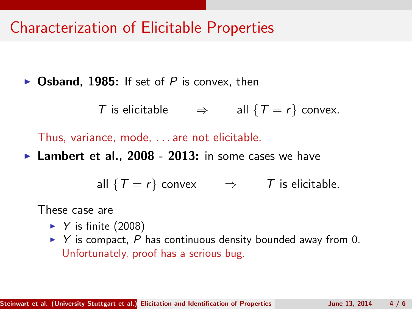### Characterization of Elicitable Properties

 $\triangleright$  Osband, 1985: If set of P is convex, then

T is elicitable  $\Rightarrow$  all  $\{T = r\}$  convex.

Thus, variance, mode, . . . are not elicitable.

**Lambert et al., 2008 - 2013:** in some cases we have

all  $\{T = r\}$  convex  $\Rightarrow$  T is elicitable.

These case are

- $\blacktriangleright$  Y is finite (2008)
- $\triangleright$  Y is compact, P has continuous density bounded away from 0. Unfortunately, proof has a serious bug.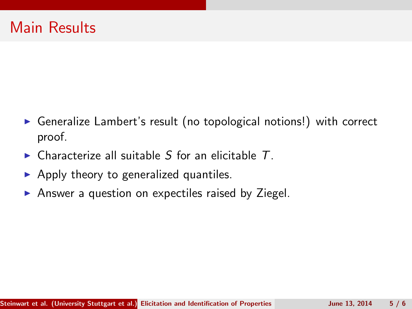- ▶ Generalize Lambert's result (no topological notions!) with correct proof.
- $\triangleright$  Characterize all suitable S for an elicitable T.
- $\triangleright$  Apply theory to generalized quantiles.
- $\triangleright$  Answer a question on expectiles raised by Ziegel.